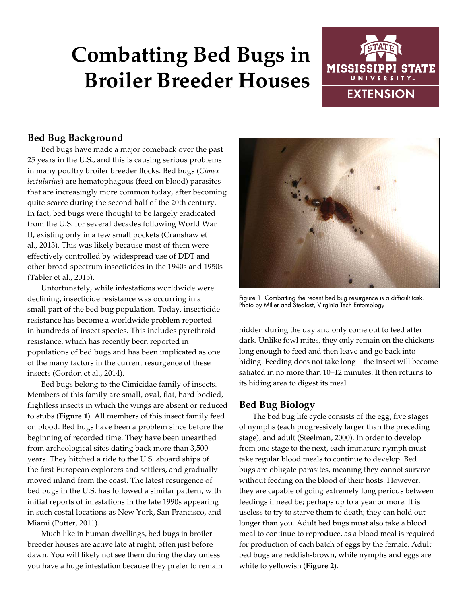# **Combatting Bed Bugs in Broiler Breeder Houses**



## **Bed Bug Background**

Bed bugs have made a major comeback over the past 25 years in the U.S., and this is causing serious problems in many poultry broiler breeder flocks. Bed bugs (*Cimex lectularius*) are hematophagous (feed on blood) parasites that are increasingly more common today, after becoming quite scarce during the second half of the 20th century. In fact, bed bugs were thought to be largely eradicated from the U.S. for several decades following World War II, existing only in a few small pockets (Cranshaw et al., 2013). This was likely because most of them were effectively controlled by widespread use of DDT and other broad-spectrum insecticides in the 1940s and 1950s (Tabler et al., 2015).

Unfortunately, while infestations worldwide were declining, insecticide resistance was occurring in a small part of the bed bug population. Today, insecticide resistance has become a worldwide problem reported in hundreds of insect species. This includes pyrethroid resistance, which has recently been reported in populations of bed bugs and has been implicated as one of the many factors in the current resurgence of these insects (Gordon et al., 2014).

Bed bugs belong to the Cimicidae family of insects. Members of this family are small, oval, flat, hard-bodied, flightless insects in which the wings are absent or reduced to stubs (**Figure 1**). All members of this insect family feed on blood. Bed bugs have been a problem since before the beginning of recorded time. They have been unearthed from archeological sites dating back more than 3,500 years. They hitched a ride to the U.S. aboard ships of the first European explorers and settlers, and gradually moved inland from the coast. The latest resurgence of bed bugs in the U.S. has followed a similar pattern, with initial reports of infestations in the late 1990s appearing in such costal locations as New York, San Francisco, and Miami (Potter, 2011).

Much like in human dwellings, bed bugs in broiler breeder houses are active late at night, often just before dawn. You will likely not see them during the day unless you have a huge infestation because they prefer to remain



Figure 1. Combatting the recent bed bug resurgence is a difficult task. Photo by Miller and Stedfast, Virginia Tech Entomology

hidden during the day and only come out to feed after dark. Unlike fowl mites, they only remain on the chickens long enough to feed and then leave and go back into hiding. Feeding does not take long—the insect will become satiated in no more than 10–12 minutes. It then returns to its hiding area to digest its meal.

#### **Bed Bug Biology**

The bed bug life cycle consists of the egg, five stages of nymphs (each progressively larger than the preceding stage), and adult (Steelman, 2000). In order to develop from one stage to the next, each immature nymph must take regular blood meals to continue to develop. Bed bugs are obligate parasites, meaning they cannot survive without feeding on the blood of their hosts. However, they are capable of going extremely long periods between feedings if need be; perhaps up to a year or more. It is useless to try to starve them to death; they can hold out longer than you. Adult bed bugs must also take a blood meal to continue to reproduce, as a blood meal is required for production of each batch of eggs by the female. Adult bed bugs are reddish-brown, while nymphs and eggs are white to yellowish (**Figure 2**).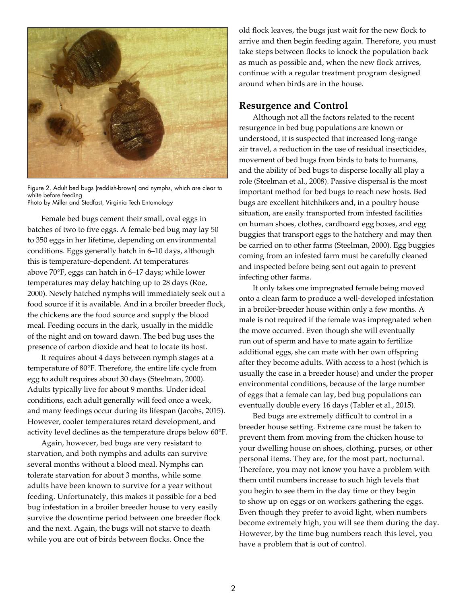

Figure 2. Adult bed bugs (reddish-brown) and nymphs, which are clear to white before feeding. Photo by Miller and Stedfast, Virginia Tech Entomology

Female bed bugs cement their small, oval eggs in batches of two to five eggs. A female bed bug may lay 50 to 350 eggs in her lifetime, depending on environmental conditions. Eggs generally hatch in 6–10 days, although this is temperature-dependent. At temperatures above 70°F, eggs can hatch in 6–17 days; while lower temperatures may delay hatching up to 28 days (Roe, 2000). Newly hatched nymphs will immediately seek out a food source if it is available. And in a broiler breeder flock, the chickens are the food source and supply the blood meal. Feeding occurs in the dark, usually in the middle of the night and on toward dawn. The bed bug uses the presence of carbon dioxide and heat to locate its host.

It requires about 4 days between nymph stages at a temperature of 80°F. Therefore, the entire life cycle from egg to adult requires about 30 days (Steelman, 2000). Adults typically live for about 9 months. Under ideal conditions, each adult generally will feed once a week, and many feedings occur during its lifespan (Jacobs, 2015). However, cooler temperatures retard development, and activity level declines as the temperature drops below 60°F.

Again, however, bed bugs are very resistant to starvation, and both nymphs and adults can survive several months without a blood meal. Nymphs can tolerate starvation for about 3 months, while some adults have been known to survive for a year without feeding. Unfortunately, this makes it possible for a bed bug infestation in a broiler breeder house to very easily survive the downtime period between one breeder flock and the next. Again, the bugs will not starve to death while you are out of birds between flocks. Once the

old flock leaves, the bugs just wait for the new flock to arrive and then begin feeding again. Therefore, you must take steps between flocks to knock the population back as much as possible and, when the new flock arrives, continue with a regular treatment program designed around when birds are in the house.

#### **Resurgence and Control**

Although not all the factors related to the recent resurgence in bed bug populations are known or understood, it is suspected that increased long-range air travel, a reduction in the use of residual insecticides, movement of bed bugs from birds to bats to humans, and the ability of bed bugs to disperse locally all play a role (Steelman et al., 2008). Passive dispersal is the most important method for bed bugs to reach new hosts. Bed bugs are excellent hitchhikers and, in a poultry house situation, are easily transported from infested facilities on human shoes, clothes, cardboard egg boxes, and egg buggies that transport eggs to the hatchery and may then be carried on to other farms (Steelman, 2000). Egg buggies coming from an infested farm must be carefully cleaned and inspected before being sent out again to prevent infecting other farms.

It only takes one impregnated female being moved onto a clean farm to produce a well-developed infestation in a broiler-breeder house within only a few months. A male is not required if the female was impregnated when the move occurred. Even though she will eventually run out of sperm and have to mate again to fertilize additional eggs, she can mate with her own offspring after they become adults. With access to a host (which is usually the case in a breeder house) and under the proper environmental conditions, because of the large number of eggs that a female can lay, bed bug populations can eventually double every 16 days (Tabler et al., 2015).

Bed bugs are extremely difficult to control in a breeder house setting. Extreme care must be taken to prevent them from moving from the chicken house to your dwelling house on shoes, clothing, purses, or other personal items. They are, for the most part, nocturnal. Therefore, you may not know you have a problem with them until numbers increase to such high levels that you begin to see them in the day time or they begin to show up on eggs or on workers gathering the eggs. Even though they prefer to avoid light, when numbers become extremely high, you will see them during the day. However, by the time bug numbers reach this level, you have a problem that is out of control.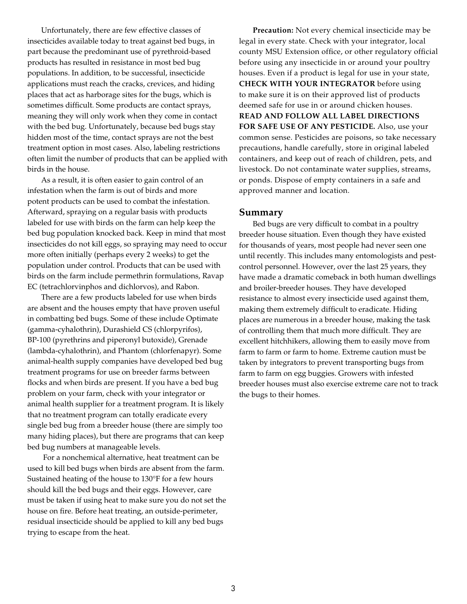Unfortunately, there are few effective classes of insecticides available today to treat against bed bugs, in part because the predominant use of pyrethroid-based products has resulted in resistance in most bed bug populations. In addition, to be successful, insecticide applications must reach the cracks, crevices, and hiding places that act as harborage sites for the bugs, which is sometimes difficult. Some products are contact sprays, meaning they will only work when they come in contact with the bed bug. Unfortunately, because bed bugs stay hidden most of the time, contact sprays are not the best treatment option in most cases. Also, labeling restrictions often limit the number of products that can be applied with birds in the house.

As a result, it is often easier to gain control of an infestation when the farm is out of birds and more potent products can be used to combat the infestation. Afterward, spraying on a regular basis with products labeled for use with birds on the farm can help keep the bed bug population knocked back. Keep in mind that most insecticides do not kill eggs, so spraying may need to occur more often initially (perhaps every 2 weeks) to get the population under control. Products that can be used with birds on the farm include permethrin formulations, Ravap EC (tetrachlorvinphos and dichlorvos), and Rabon.

There are a few products labeled for use when birds are absent and the houses empty that have proven useful in combatting bed bugs. Some of these include Optimate (gamma-cyhalothrin), Durashield CS (chlorpyrifos), BP-100 (pyrethrins and piperonyl butoxide), Grenade (lambda-cyhalothrin), and Phantom (chlorfenapyr). Some animal-health supply companies have developed bed bug treatment programs for use on breeder farms between flocks and when birds are present. If you have a bed bug problem on your farm, check with your integrator or animal health supplier for a treatment program. It is likely that no treatment program can totally eradicate every single bed bug from a breeder house (there are simply too many hiding places), but there are programs that can keep bed bug numbers at manageable levels.

 For a nonchemical alternative, heat treatment can be used to kill bed bugs when birds are absent from the farm. Sustained heating of the house to 130°F for a few hours should kill the bed bugs and their eggs. However, care must be taken if using heat to make sure you do not set the house on fire. Before heat treating, an outside-perimeter, residual insecticide should be applied to kill any bed bugs trying to escape from the heat.

**Precaution:** Not every chemical insecticide may be legal in every state. Check with your integrator, local county MSU Extension office, or other regulatory official before using any insecticide in or around your poultry houses. Even if a product is legal for use in your state, **CHECK WITH YOUR INTEGRATOR** before using to make sure it is on their approved list of products deemed safe for use in or around chicken houses. **READ AND FOLLOW ALL LABEL DIRECTIONS FOR SAFE USE OF ANY PESTICIDE.** Also, use your common sense. Pesticides are poisons, so take necessary precautions, handle carefully, store in original labeled containers, and keep out of reach of children, pets, and livestock. Do not contaminate water supplies, streams, or ponds. Dispose of empty containers in a safe and approved manner and location.

#### **Summary**

Bed bugs are very difficult to combat in a poultry breeder house situation. Even though they have existed for thousands of years, most people had never seen one until recently. This includes many entomologists and pestcontrol personnel. However, over the last 25 years, they have made a dramatic comeback in both human dwellings and broiler-breeder houses. They have developed resistance to almost every insecticide used against them, making them extremely difficult to eradicate. Hiding places are numerous in a breeder house, making the task of controlling them that much more difficult. They are excellent hitchhikers, allowing them to easily move from farm to farm or farm to home. Extreme caution must be taken by integrators to prevent transporting bugs from farm to farm on egg buggies. Growers with infested breeder houses must also exercise extreme care not to track the bugs to their homes.